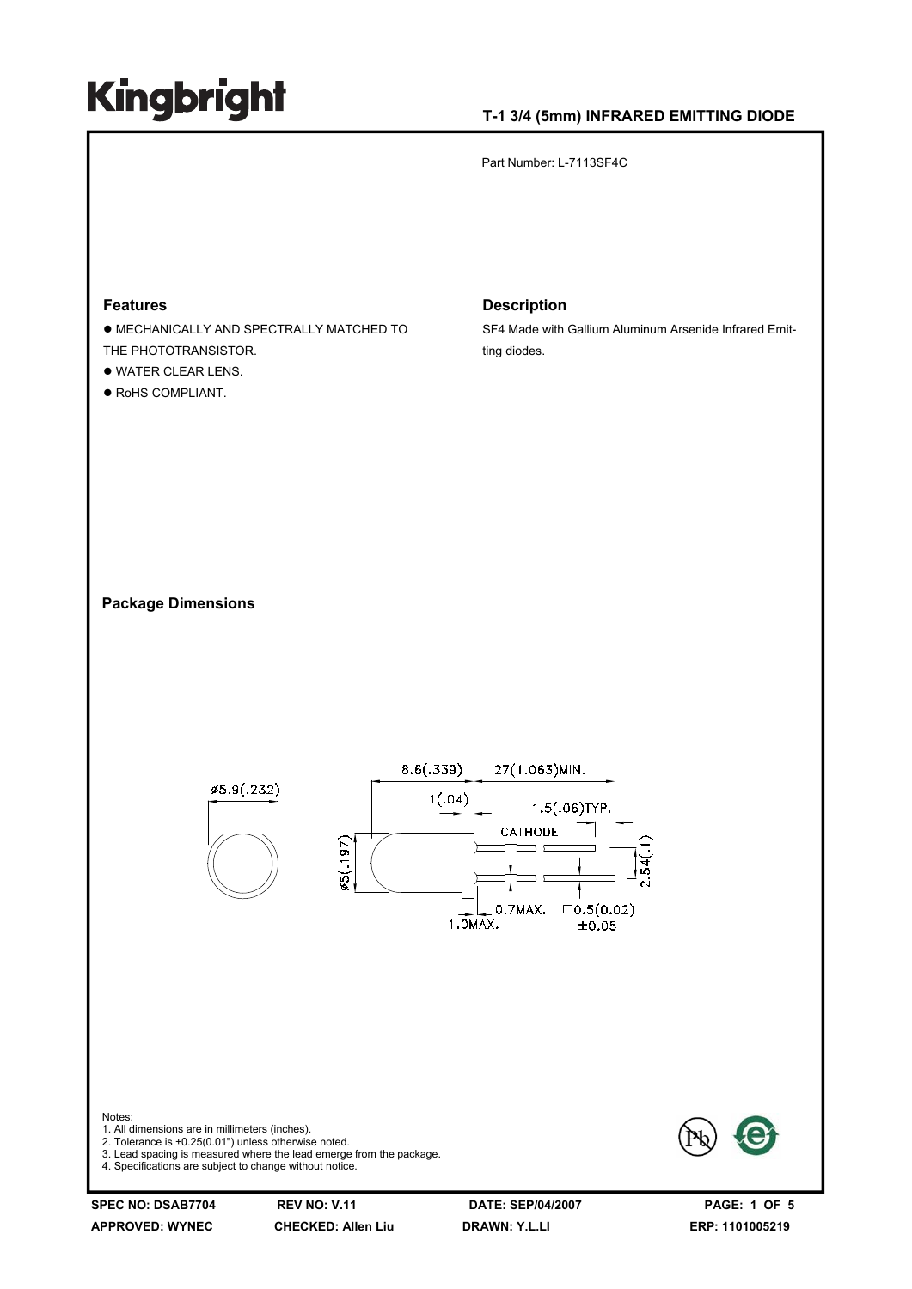#### **T-1 3/4 (5mm) INFRARED EMITTING DIODE**

Part Number: L-7113SF4C

### **Features**

- $\bullet$  MECHANICALLY AND SPECTRALLY MATCHED TO THE PHOTOTRANSISTOR.
- $\bullet$  WATER CLEAR LENS.
- $\bullet$  RoHS COMPLIANT.

#### **Description**

SF4 Made with Gallium Aluminum Arsenide Infrared Emitting diodes.

#### **Package Dimensions**



**APPROVED: WYNEC CHECKED: Allen Liu DRAWN: Y.L.LI ERP: 1101005219**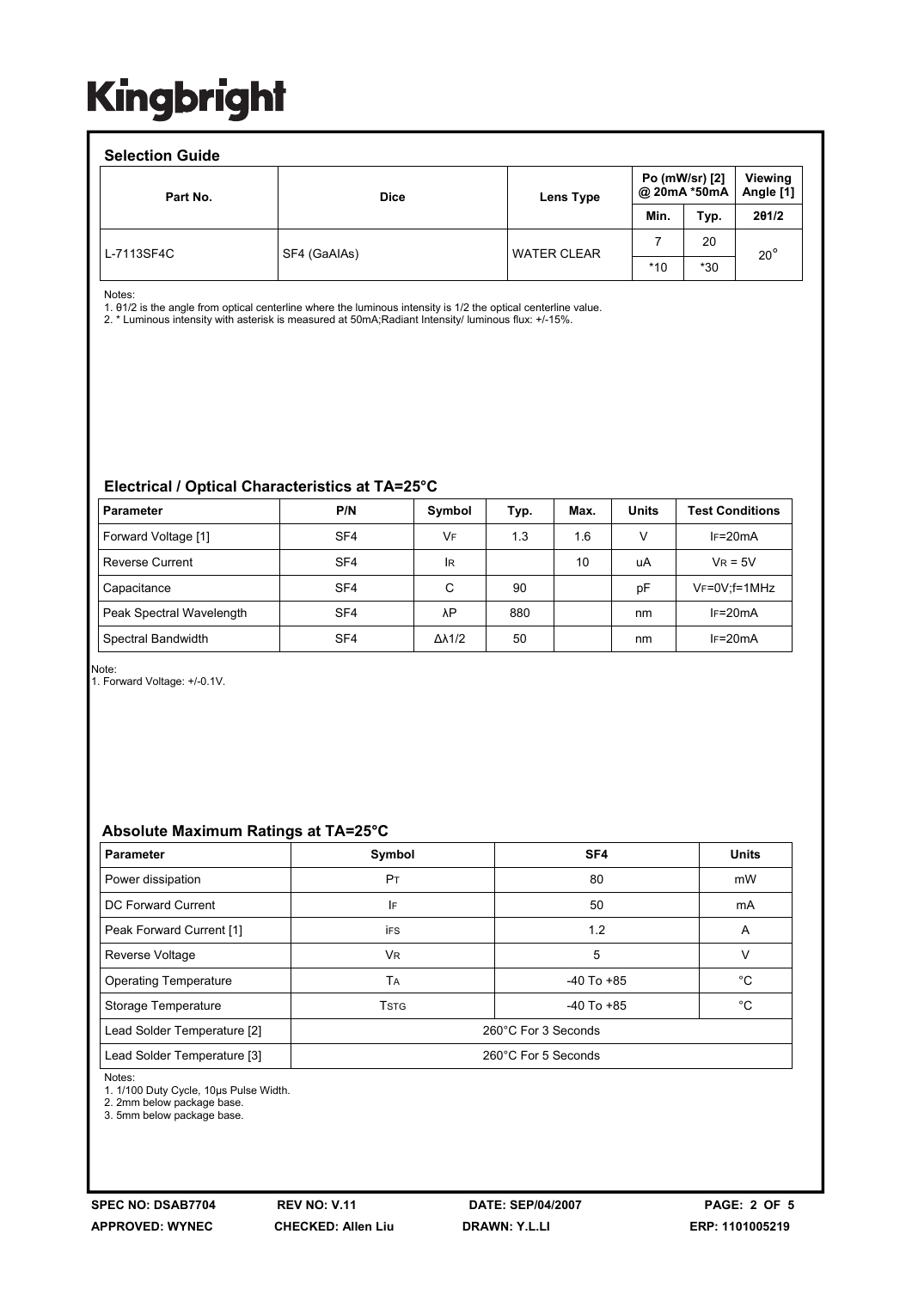#### **Selection Guide**  Part No. **Dice Dice Lens Type Po (mW/sr) [2] @ 20mA \*50mA Viewing Angle [1] Min. Typ. 2θ1/2**  L-7113SF4C SF4 (GaAIAs) WATER CLEAR 7 20  $*10$   $*30$ 20°

Notes:

1. θ1/2 is the angle from optical centerline where the luminous intensity is 1/2 the optical centerline value.

2. \* Luminous intensity with asterisk is measured at 50mA;Radiant Intensity/ luminous flux: +/-15%.

#### **Electrical / Optical Characteristics at TA=25°C**

| <b>Parameter</b>         | P/N             | Symbol              | Typ. | Max. | <b>Units</b> | <b>Test Conditions</b> |
|--------------------------|-----------------|---------------------|------|------|--------------|------------------------|
| Forward Voltage [1]      | SF <sub>4</sub> | VF                  | 1.3  | 1.6  | v            | $IF=20mA$              |
| <b>Reverse Current</b>   | SF <sub>4</sub> | <b>IR</b>           |      | 10   | uA           | $V_R = 5V$             |
| Capacitance              | SF <sub>4</sub> | C                   | 90   |      | рF           | $V_F = 0V$ ; f = 1MHz  |
| Peak Spectral Wavelength | SF <sub>4</sub> | λP                  | 880  |      | nm           | $IF=20mA$              |
| Spectral Bandwidth       | SF <sub>4</sub> | $\Delta\lambda$ 1/2 | 50   |      | nm           | $IF=20mA$              |

Note:

1. Forward Voltage: +/-0.1V.

#### **Absolute Maximum Ratings at TA=25°C**

| <b>Parameter</b>             | Symbol              | SF <sub>4</sub> | <b>Units</b> |  |  |
|------------------------------|---------------------|-----------------|--------------|--|--|
| Power dissipation            | P <sub>T</sub>      | 80              | mW           |  |  |
| DC Forward Current           | l۴                  | 50              | mA           |  |  |
| Peak Forward Current [1]     | <b>iFS</b>          | 1.2             | A            |  |  |
| <b>Reverse Voltage</b>       | VR.                 | 5               | V            |  |  |
| <b>Operating Temperature</b> | TA                  | $-40$ To $+85$  | °C           |  |  |
| Storage Temperature          | <b>TSTG</b>         | $-40$ To $+85$  | °C           |  |  |
| Lead Solder Temperature [2]  | 260°C For 3 Seconds |                 |              |  |  |
| Lead Solder Temperature [3]  | 260°C For 5 Seconds |                 |              |  |  |

Notes:

1. 1/100 Duty Cycle, 10μs Pulse Width.

2. 2mm below package base.

3. 5mm below package base.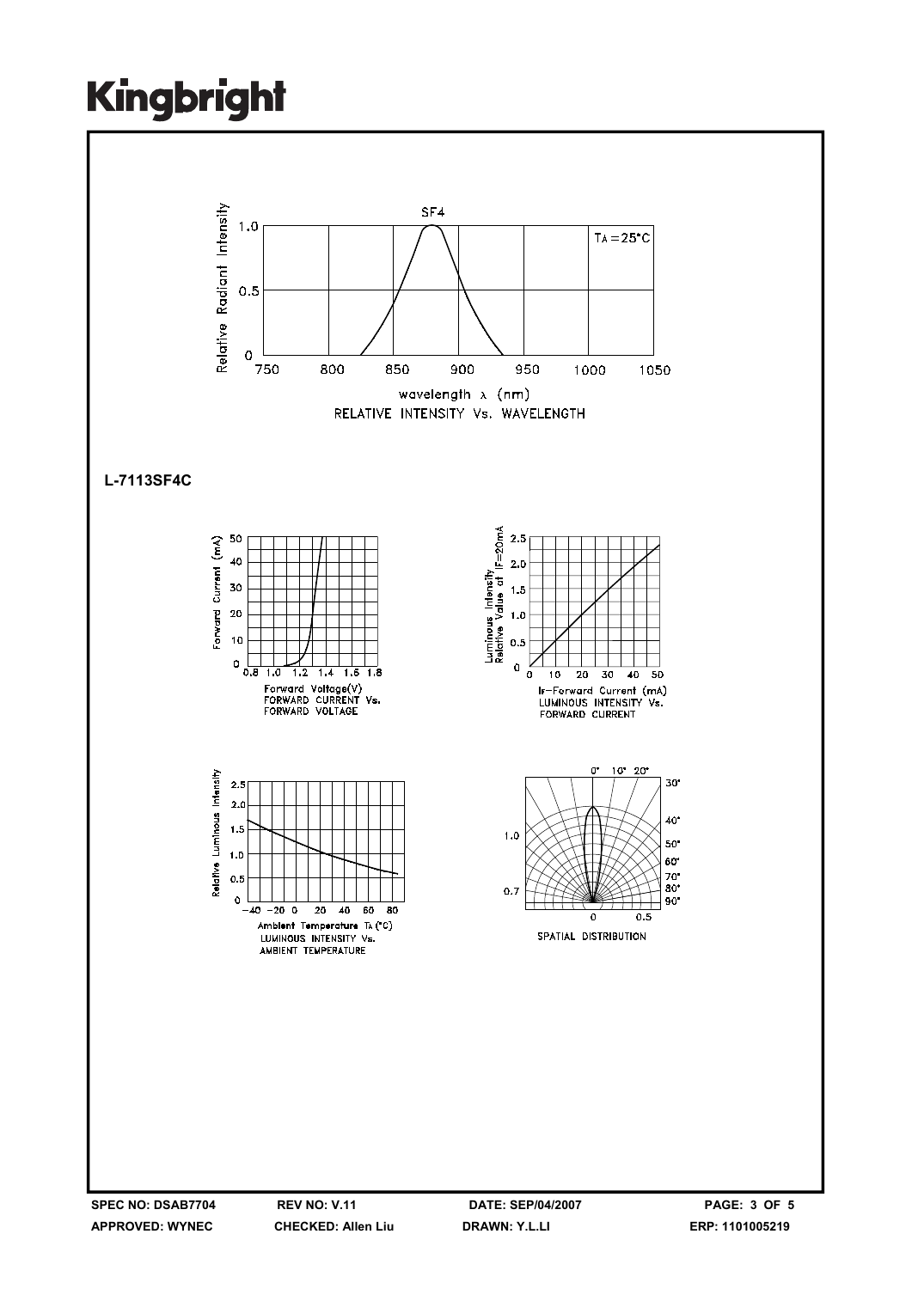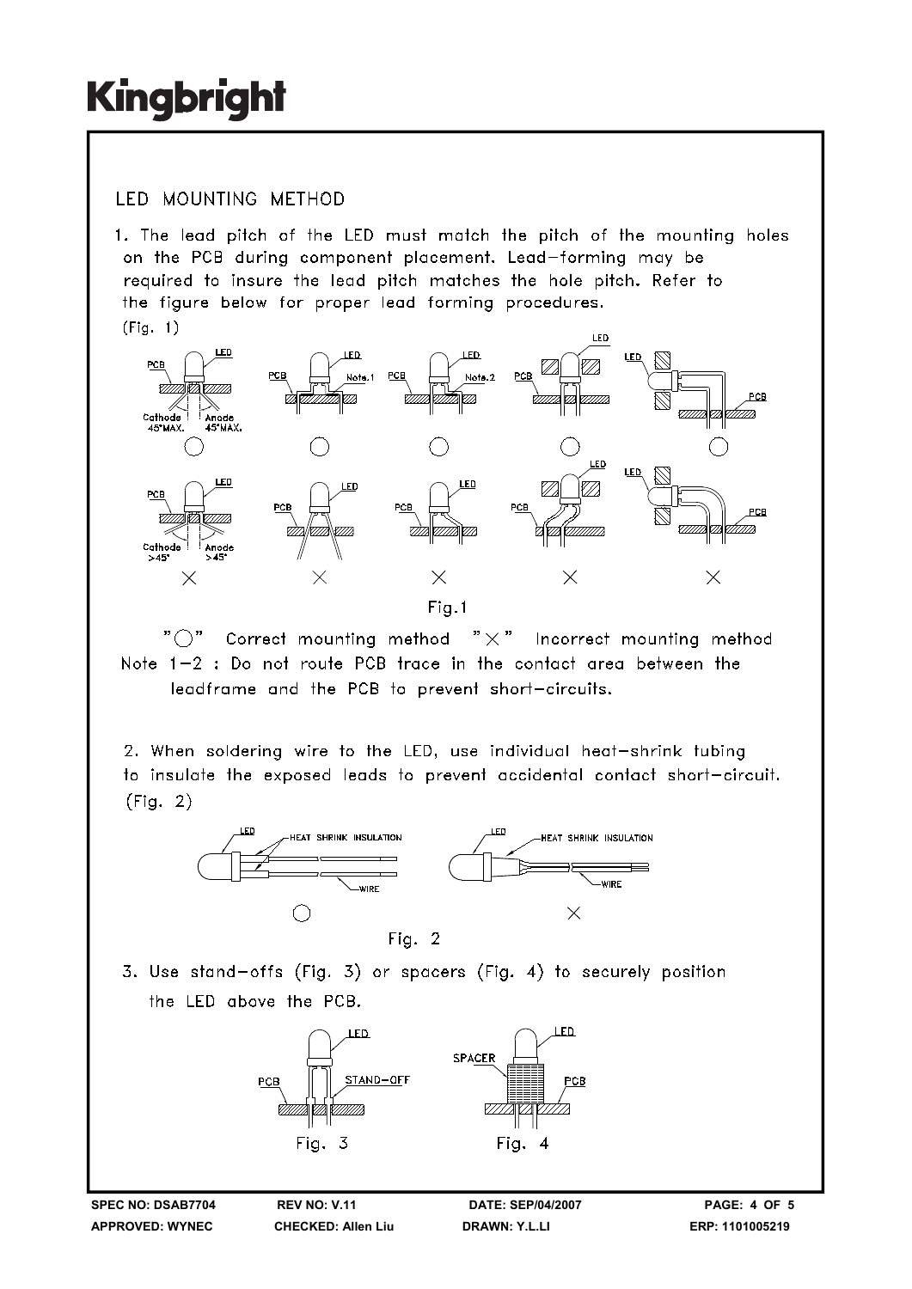### **IFD MOUNTING METHOD**

1. The lead pitch of the LED must match the pitch of the mounting holes on the PCB during component placement. Lead-forming may be required to insure the lead pitch matches the hole pitch. Refer to the figure below for proper lead forming procedures.  $(Fiq. 1)$ 



" ( )" Correct mounting method  $" \times"$  Incorrect mounting method Note 1-2 : Do not route PCB trace in the contact area between the leadframe and the PCB to prevent short-circuits.

2. When soldering wire to the LED, use individual heat-shrink tubing to insulate the exposed leads to prevent accidental contact short-circuit.  $(Fiq. 2)$ 



3. Use stand-offs (Fig. 3) or spacers (Fig. 4) to securely position the LED above the PCB.